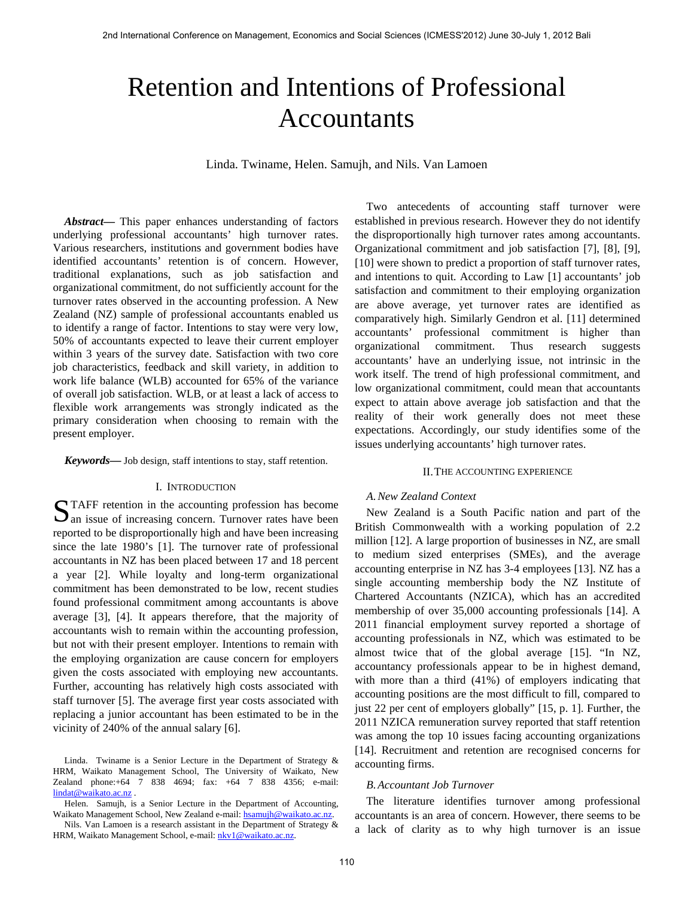# Retention and Intentions of Professional Accountants

Linda. Twiname, Helen. Samujh, and Nils. Van Lamoen

*Abstract***—** This paper enhances understanding of factors underlying professional accountants' high turnover rates. Various researchers, institutions and government bodies have identified accountants' retention is of concern. However, traditional explanations, such as job satisfaction and organizational commitment, do not sufficiently account for the turnover rates observed in the accounting profession. A New Zealand (NZ) sample of professional accountants enabled us to identify a range of factor. Intentions to stay were very low, 50% of accountants expected to leave their current employer within 3 years of the survey date. Satisfaction with two core job characteristics, feedback and skill variety, in addition to work life balance (WLB) accounted for 65% of the variance of overall job satisfaction. WLB, or at least a lack of access to flexible work arrangements was strongly indicated as the primary consideration when choosing to remain with the present employer.

*Keywords***—** Job design, staff intentions to stay, staff retention.

#### I. INTRODUCTION

STAFF retention in the accounting profession has become an issue of increasing concern. Turnover rates have been  $\Delta$  an issue of increasing concern. Turnover rates have been reported to be disproportionally high and have been increasing since the late 1980's [1]. The turnover rate of professional accountants in NZ has been placed between 17 and 18 percent a year [2]. While loyalty and long-term organizational commitment has been demonstrated to be low, recent studies found professional commitment among accountants is above average [3], [4]. It appears therefore, that the majority of accountants wish to remain within the accounting profession, but not with their present employer. Intentions to remain with the employing organization are cause concern for employers given the costs associated with employing new accountants. Further, accounting has relatively high costs associated with staff turnover [5]. The average first year costs associated with replacing a junior accountant has been estimated to be in the vicinity of 240% of the annual salary [6].

Two antecedents of accounting staff turnover were established in previous research. However they do not identify the disproportionally high turnover rates among accountants. Organizational commitment and job satisfaction [7], [8], [9], [10] were shown to predict a proportion of staff turnover rates, and intentions to quit. According to Law [1] accountants' job satisfaction and commitment to their employing organization are above average, yet turnover rates are identified as comparatively high. Similarly Gendron et al. [11] determined accountants' professional commitment is higher than organizational commitment. Thus research suggests accountants' have an underlying issue, not intrinsic in the work itself. The trend of high professional commitment, and low organizational commitment, could mean that accountants expect to attain above average job satisfaction and that the reality of their work generally does not meet these expectations. Accordingly, our study identifies some of the issues underlying accountants' high turnover rates.

#### II.THE ACCOUNTING EXPERIENCE

#### *A.New Zealand Context*

New Zealand is a South Pacific nation and part of the British Commonwealth with a working population of 2.2 million [12]. A large proportion of businesses in NZ, are small to medium sized enterprises (SMEs), and the average accounting enterprise in NZ has 3-4 employees [13]. NZ has a single accounting membership body the NZ Institute of Chartered Accountants (NZICA), which has an accredited membership of over 35,000 accounting professionals [14]. A 2011 financial employment survey reported a shortage of accounting professionals in NZ, which was estimated to be almost twice that of the global average [15]. "In NZ, accountancy professionals appear to be in highest demand, with more than a third (41%) of employers indicating that accounting positions are the most difficult to fill, compared to just 22 per cent of employers globally" [15, p. 1]. Further, the 2011 NZICA remuneration survey reported that staff retention was among the top 10 issues facing accounting organizations [14]. Recruitment and retention are recognised concerns for accounting firms.

## *B.Accountant Job Turnover*

The literature identifies turnover among professional accountants is an area of concern. However, there seems to be a lack of clarity as to why high turnover is an issue

Linda. Twiname is a Senior Lecture in the Department of Strategy & HRM, Waikato Management School, The University of Waikato, New Zealand phone:+64 7 838 4694; fax: +64 7 838 4356; e-mail: [lindat@waikato.ac.nz](mailto:lindat@waikato.ac.nz).

Helen. Samujh, is a Senior Lecture in the Department of Accounting, Waikato Management School, New Zealand e-mail: [hsamujh@waikato.ac.nz.](mailto:hsamujh@waikato.ac.nz)

Nils. Van Lamoen is a research assistant in the Department of Strategy & HRM, Waikato Management School, e-mail: nkv1@waikato.ac.nz.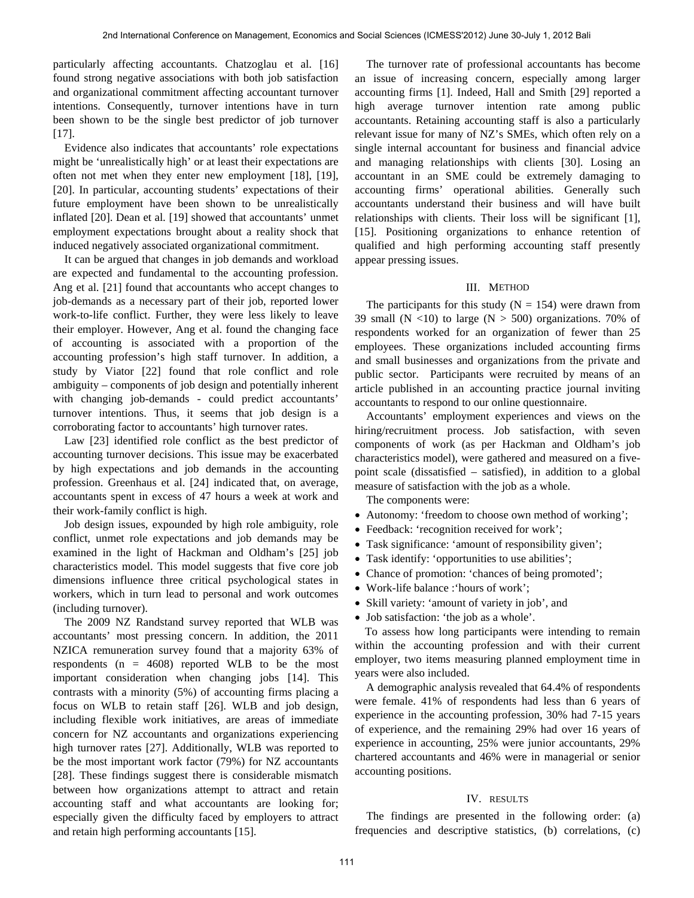particularly affecting accountants. Chatzoglau et al. [16] found strong negative associations with both job satisfaction and organizational commitment affecting accountant turnover intentions. Consequently, turnover intentions have in turn been shown to be the single best predictor of job turnover [17].

Evidence also indicates that accountants' role expectations might be 'unrealistically high' or at least their expectations are often not met when they enter new employment [18], [19], [20]. In particular, accounting students' expectations of their future employment have been shown to be unrealistically inflated [20]. Dean et al. [19] showed that accountants' unmet employment expectations brought about a reality shock that induced negatively associated organizational commitment.

It can be argued that changes in job demands and workload are expected and fundamental to the accounting profession. Ang et al. [21] found that accountants who accept changes to job-demands as a necessary part of their job, reported lower work-to-life conflict. Further, they were less likely to leave their employer. However, Ang et al. found the changing face of accounting is associated with a proportion of the accounting profession's high staff turnover. In addition, a study by Viator [22] found that role conflict and role ambiguity – components of job design and potentially inherent with changing job-demands - could predict accountants' turnover intentions. Thus, it seems that job design is a corroborating factor to accountants' high turnover rates.

Law [23] identified role conflict as the best predictor of accounting turnover decisions. This issue may be exacerbated by high expectations and job demands in the accounting profession. Greenhaus et al. [24] indicated that, on average, accountants spent in excess of 47 hours a week at work and their work-family conflict is high.

Job design issues, expounded by high role ambiguity, role conflict, unmet role expectations and job demands may be examined in the light of Hackman and Oldham's [25] job characteristics model. This model suggests that five core job dimensions influence three critical psychological states in workers, which in turn lead to personal and work outcomes (including turnover).

The 2009 NZ Randstand survey reported that WLB was accountants' most pressing concern. In addition, the 2011 NZICA remuneration survey found that a majority 63% of respondents  $(n = 4608)$  reported WLB to be the most important consideration when changing jobs [14]. This contrasts with a minority (5%) of accounting firms placing a focus on WLB to retain staff [26]. WLB and job design, including flexible work initiatives, are areas of immediate concern for NZ accountants and organizations experiencing high turnover rates [27]. Additionally, WLB was reported to be the most important work factor (79%) for NZ accountants [28]. These findings suggest there is considerable mismatch between how organizations attempt to attract and retain accounting staff and what accountants are looking for; especially given the difficulty faced by employers to attract and retain high performing accountants [15].

The turnover rate of professional accountants has become an issue of increasing concern, especially among larger accounting firms [1]. Indeed, Hall and Smith [29] reported a high average turnover intention rate among public accountants. Retaining accounting staff is also a particularly relevant issue for many of NZ's SMEs, which often rely on a single internal accountant for business and financial advice and managing relationships with clients [30]. Losing an accountant in an SME could be extremely damaging to accounting firms' operational abilities. Generally such accountants understand their business and will have built relationships with clients. Their loss will be significant [1], [15]. Positioning organizations to enhance retention of qualified and high performing accounting staff presently appear pressing issues.

#### III. METHOD

The participants for this study  $(N = 154)$  were drawn from 39 small (N <10) to large (N > 500) organizations. 70% of respondents worked for an organization of fewer than 25 employees. These organizations included accounting firms and small businesses and organizations from the private and public sector. Participants were recruited by means of an article published in an accounting practice journal inviting accountants to respond to our online questionnaire.

Accountants' employment experiences and views on the hiring/recruitment process. Job satisfaction, with seven components of work (as per Hackman and Oldham's job characteristics model), were gathered and measured on a fivepoint scale (dissatisfied – satisfied), in addition to a global measure of satisfaction with the job as a whole.

The components were:

- Autonomy: 'freedom to choose own method of working';
- Feedback: 'recognition received for work';
- Task significance: 'amount of responsibility given';
- Task identify: 'opportunities to use abilities';
- Chance of promotion: 'chances of being promoted';
- Work-life balance :'hours of work';
- Skill variety: 'amount of variety in job', and
- Job satisfaction: 'the job as a whole'.

To assess how long participants were intending to remain within the accounting profession and with their current employer, two items measuring planned employment time in years were also included.

A demographic analysis revealed that 64.4% of respondents were female. 41% of respondents had less than 6 years of experience in the accounting profession, 30% had 7-15 years of experience, and the remaining 29% had over 16 years of experience in accounting, 25% were junior accountants, 29% chartered accountants and 46% were in managerial or senior accounting positions.

#### IV. RESULTS

The findings are presented in the following order: (a) frequencies and descriptive statistics, (b) correlations, (c)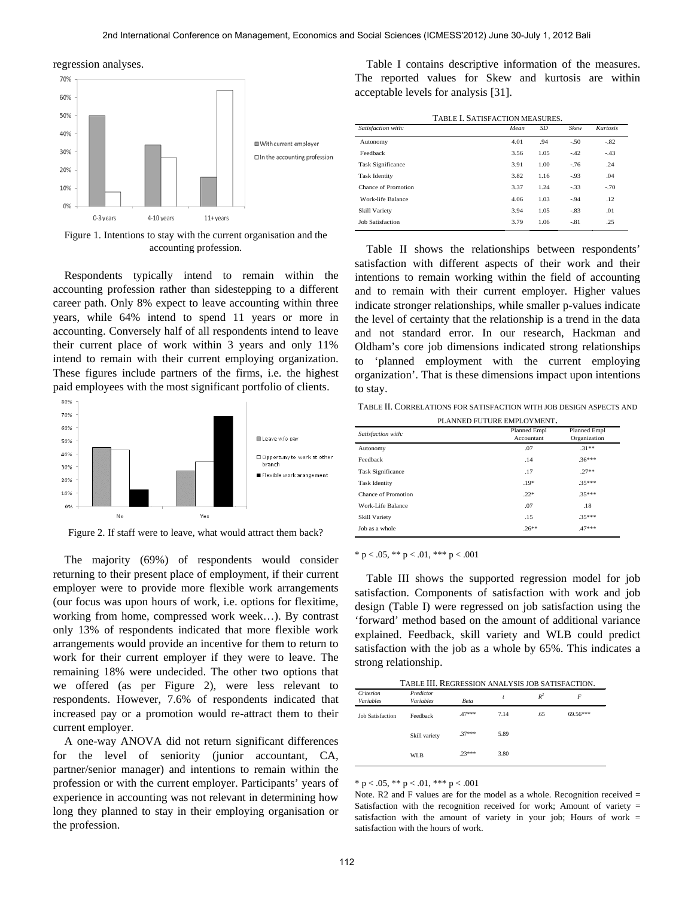regression analyses.



Figure 1. Intentions to stay with the current organisation and the accounting profession.

Respondents typically intend to remain within the accounting profession rather than sidestepping to a different career path. Only 8% expect to leave accounting within three years, while 64% intend to spend 11 years or more in accounting. Conversely half of all respondents intend to leave their current place of work within 3 years and only 11% intend to remain with their current employing organization. These figures include partners of the firms, i.e. the highest paid employees with the most significant portfolio of clients.



Figure 2. If staff were to leave, what would attract them back?

The majority (69%) of respondents would consider returning to their present place of employment, if their current employer were to provide more flexible work arrangements (our focus was upon hours of work, i.e. options for flexitime, working from home, compressed work week…). By contrast only 13% of respondents indicated that more flexible work arrangements would provide an incentive for them to return to work for their current employer if they were to leave. The remaining 18% were undecided. The other two options that we offered (as per Figure 2), were less relevant to respondents. However, 7.6% of respondents indicated that increased pay or a promotion would re-attract them to their current employer.

A one-way ANOVA did not return significant differences for the level of seniority (junior accountant, CA, partner/senior manager) and intentions to remain within the profession or with the current employer. Participants' years of experience in accounting was not relevant in determining how long they planned to stay in their employing organisation or the profession.

Table I contains descriptive information of the measures. The reported values for Skew and kurtosis are within acceptable levels for analysis [31].

| TABLE I. SATISFACTION MEASURES. |
|---------------------------------|
|---------------------------------|

| Satisfaction with:       | Mean | <b>SD</b> | Skew    | <b>Kurtosis</b> |  |
|--------------------------|------|-----------|---------|-----------------|--|
| Autonomy                 | 4.01 | .94       | $-.50$  | $-.82$          |  |
| Feedback                 | 3.56 | 1.05      | $-42$   | $-.43$          |  |
| <b>Task Significance</b> | 3.91 | 1.00      | $-76$   | .24             |  |
| <b>Task Identity</b>     | 3.82 | 1.16      | $-0.93$ | .04             |  |
| Chance of Promotion      | 3.37 | 1.24      | $-33$   | $-70$           |  |
| Work-life Balance        | 4.06 | 1.03      | $-94$   | .12.            |  |
| <b>Skill Variety</b>     | 3.94 | 1.05      | $-83$   | .01             |  |
| <b>Job Satisfaction</b>  | 3.79 | 1.06      | $-.81$  | .25             |  |

Table II shows the relationships between respondents' satisfaction with different aspects of their work and their intentions to remain working within the field of accounting and to remain with their current employer. Higher values indicate stronger relationships, while smaller p-values indicate the level of certainty that the relationship is a trend in the data and not standard error. In our research, Hackman and Oldham's core job dimensions indicated strong relationships 'planned employment with the current employing organization'. That is these dimensions impact upon intentions to stay.

TABLE II. CORRELATIONS FOR SATISFACTION WITH JOB DESIGN ASPECTS AND

| PLANNED FUTURE EMPLOYMENT. |                            |                              |  |  |  |
|----------------------------|----------------------------|------------------------------|--|--|--|
| Satisfaction with:         | Planned Empl<br>Accountant | Planned Empl<br>Organization |  |  |  |
| Autonomy                   | .07                        | $.31***$                     |  |  |  |
| Feedback                   | .14                        | $.36***$                     |  |  |  |
| <b>Task Significance</b>   | .17                        | $.27**$                      |  |  |  |
| <b>Task Identity</b>       | $.19*$                     | $35***$                      |  |  |  |
| Chance of Promotion        | $.22*$                     | $.35***$                     |  |  |  |
| Work-Life Balance          | .07                        | .18                          |  |  |  |
| <b>Skill Variety</b>       | .15                        | $.35***$                     |  |  |  |
| Job as a whole             | $.26***$                   | $.47***$                     |  |  |  |

\* p < .05, \*\* p < .01, \*\*\* p < .001

Table III shows the supported regression model for job satisfaction. Components of satisfaction with work and job design (Table I) were regressed on job satisfaction using the 'forward' method based on the amount of additional variance explained. Feedback, skill variety and WLB could predict satisfaction with the job as a whole by 65%. This indicates a strong relationship.

TABLE III. REGRESSION ANALYSIS JOB SATISFACTION.

| Criterion<br>Variables  | Predictor<br>Variables | Beta     | t    | $R^2$ | F        |
|-------------------------|------------------------|----------|------|-------|----------|
| <b>Job Satisfaction</b> | Feedback               | $.47***$ | 7.14 | .65   | 69.56*** |
|                         | Skill variety          | $.37***$ | 5.89 |       |          |
|                         | <b>WLB</b>             | $23***$  | 3.80 |       |          |

\* p < .05, \*\* p < .01, \*\*\* p < .001

Note. R2 and F values are for the model as a whole. Recognition received = Satisfaction with the recognition received for work; Amount of variety = satisfaction with the amount of variety in your job; Hours of work = satisfaction with the hours of work.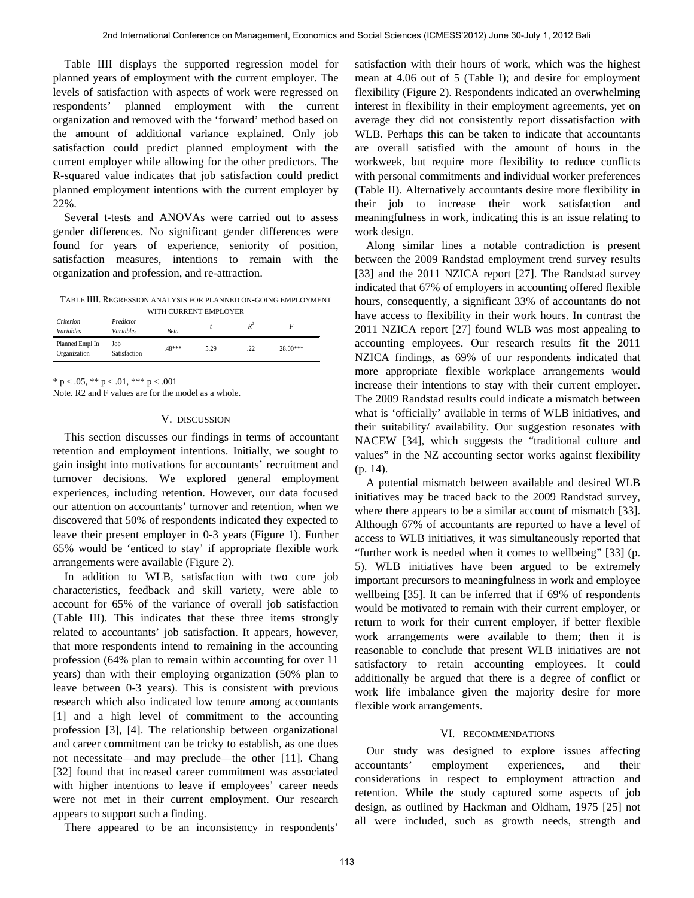Table IIII displays the supported regression model for planned years of employment with the current employer. The levels of satisfaction with aspects of work were regressed on respondents' planned employment with the current organization and removed with the 'forward' method based on the amount of additional variance explained. Only job satisfaction could predict planned employment with the current employer while allowing for the other predictors. The R-squared value indicates that job satisfaction could predict planned employment intentions with the current employer by 22%.

Several t-tests and ANOVAs were carried out to assess gender differences. No significant gender differences were found for years of experience, seniority of position, satisfaction measures, intentions to remain with the organization and profession, and re-attraction.

TABLE IIII. REGRESSION ANALYSIS FOR PLANNED ON-GOING EMPLOYMENT

| WITH CURRENT EMPLOYER           |                               |       |      |       |            |  |
|---------------------------------|-------------------------------|-------|------|-------|------------|--|
| Criterion<br>Variables          | Predictor<br><b>Variables</b> | Beta  |      | $R^2$ |            |  |
| Planned Empl In<br>Organization | Job<br>Satisfaction           | 48*** | 5.29 | .22   | $28.00***$ |  |

\* p < .05, \*\* p < .01, \*\*\* p < .001

Note. R2 and F values are for the model as a whole.

## V. DISCUSSION

This section discusses our findings in terms of accountant retention and employment intentions. Initially, we sought to gain insight into motivations for accountants' recruitment and turnover decisions. We explored general employment experiences, including retention. However, our data focused our attention on accountants' turnover and retention, when we discovered that 50% of respondents indicated they expected to leave their present employer in 0-3 years (Figure 1). Further 65% would be 'enticed to stay' if appropriate flexible work arrangements were available (Figure 2).

In addition to WLB, satisfaction with two core job characteristics, feedback and skill variety, were able to account for 65% of the variance of overall job satisfaction (Table III). This indicates that these three items strongly related to accountants' job satisfaction. It appears, however, that more respondents intend to remaining in the accounting profession (64% plan to remain within accounting for over 11 years) than with their employing organization (50% plan to leave between 0-3 years). This is consistent with previous research which also indicated low tenure among accountants [1] and a high level of commitment to the accounting profession [3], [4]. The relationship between organizational and career commitment can be tricky to establish, as one does not necessitate—and may preclude—the other [11]. Chang [32] found that increased career commitment was associated with higher intentions to leave if employees' career needs were not met in their current employment. Our research appears to support such a finding.

There appeared to be an inconsistency in respondents'

satisfaction with their hours of work, which was the highest mean at 4.06 out of 5 (Table I); and desire for employment flexibility (Figure 2). Respondents indicated an overwhelming interest in flexibility in their employment agreements, yet on average they did not consistently report dissatisfaction with WLB. Perhaps this can be taken to indicate that accountants are overall satisfied with the amount of hours in the workweek, but require more flexibility to reduce conflicts with personal commitments and individual worker preferences (Table II). Alternatively accountants desire more flexibility in their job to increase their work satisfaction and meaningfulness in work, indicating this is an issue relating to work design.

Along similar lines a notable contradiction is present between the 2009 Randstad employment trend survey results [33] and the 2011 NZICA report [27]. The Randstad survey indicated that 67% of employers in accounting offered flexible hours, consequently, a significant 33% of accountants do not have access to flexibility in their work hours. In contrast the 2011 NZICA report [27] found WLB was most appealing to accounting employees. Our research results fit the 2011 NZICA findings, as 69% of our respondents indicated that more appropriate flexible workplace arrangements would increase their intentions to stay with their current employer. The 2009 Randstad results could indicate a mismatch between what is 'officially' available in terms of WLB initiatives, and their suitability/ availability. Our suggestion resonates with NACEW [34], which suggests the "traditional culture and values" in the NZ accounting sector works against flexibility (p. 14).

A potential mismatch between available and desired WLB initiatives may be traced back to the 2009 Randstad survey, where there appears to be a similar account of mismatch [33]. Although 67% of accountants are reported to have a level of access to WLB initiatives, it was simultaneously reported that "further work is needed when it comes to wellbeing" [33] (p. 5). WLB initiatives have been argued to be extremely important precursors to meaningfulness in work and employee wellbeing [35]. It can be inferred that if 69% of respondents would be motivated to remain with their current employer, or return to work for their current employer, if better flexible work arrangements were available to them; then it is reasonable to conclude that present WLB initiatives are not satisfactory to retain accounting employees. It could additionally be argued that there is a degree of conflict or work life imbalance given the majority desire for more flexible work arrangements.

## VI. RECOMMENDATIONS

Our study was designed to explore issues affecting accountants' employment experiences, and their considerations in respect to employment attraction and retention. While the study captured some aspects of job design, as outlined by Hackman and Oldham, 1975 [25] not all were included, such as growth needs, strength and